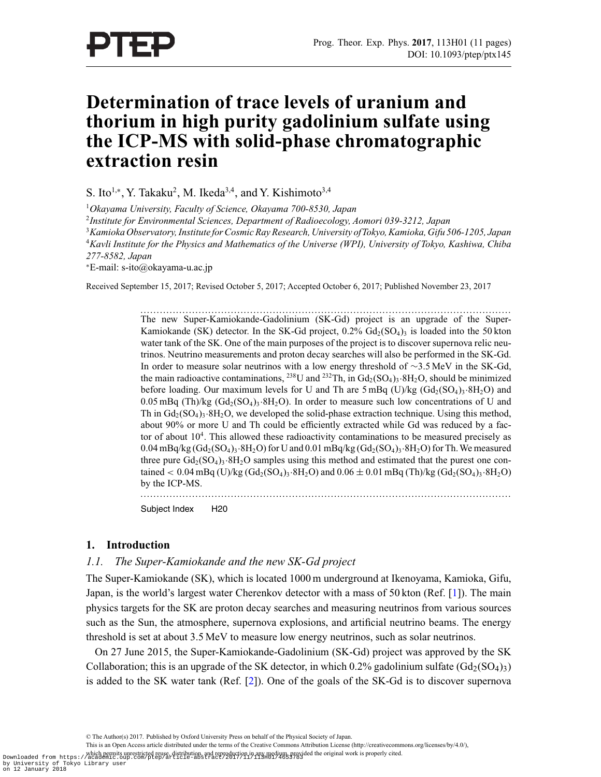# **Determination of trace levels of uranium and thorium in high purity gadolinium sulfate using the ICP-MS with solid-phase chromatographic extraction resin**

S. Ito<sup>1,∗</sup>, Y. Takaku<sup>2</sup>, M. Ikeda<sup>3,4</sup>, and Y. Kishimoto<sup>3,4</sup>

<sup>1</sup>*Okayama University, Faculty of Science, Okayama 700-8530, Japan*

<sup>2</sup>*Institute for Environmental Sciences, Department of Radioecology, Aomori 039-3212, Japan*

<sup>3</sup>*Kamioka Observatory, Institute for Cosmic Ray Research, University ofTokyo, Kamioka, Gifu 506-1205, Japan* <sup>4</sup>*Kavli Institute for the Physics and Mathematics of the Universe (WPI), University of Tokyo, Kashiwa, Chiba 277-8582, Japan*

<sup>∗</sup>E-mail: s-ito@okayama-u.ac.jp

Received September 15, 2017; Revised October 5, 2017; Accepted October 6, 2017; Published November 23, 2017

................................................................................................................... The new Super-Kamiokande-Gadolinium (SK-Gd) project is an upgrade of the Super-Kamiokande (SK) detector. In the SK-Gd project,  $0.2\%$  Gd<sub>2</sub>(SO<sub>4</sub>)<sub>3</sub> is loaded into the 50 kton water tank of the SK. One of the main purposes of the project is to discover supernova relic neutrinos. Neutrino measurements and proton decay searches will also be performed in the SK-Gd. In order to measure solar neutrinos with a low energy threshold of ∼3.5 MeV in the SK-Gd, the main radioactive contaminations, <sup>238</sup>U and <sup>232</sup>Th, in  $Gd_2(SO_4)$ <sub>3</sub>·8H<sub>2</sub>O, should be minimized before loading. Our maximum levels for U and Th are 5 mBq (U)/kg ( $Gd_2(SO_4)3.8H_2O$ ) and 0.05 mBq (Th)/kg  $(Gd_2(SO_4)_3.8H_2O)$ . In order to measure such low concentrations of U and Th in  $Gd_2(SO_4)$ <sub>3</sub>·8H<sub>2</sub>O, we developed the solid-phase extraction technique. Using this method, about 90% or more U and Th could be efficiently extracted while Gd was reduced by a factor of about  $10<sup>4</sup>$ . This allowed these radioactivity contaminations to be measured precisely as 0.04 mBq/kg  $(\text{Gd}_{2}(SO_{4})_{3}\cdot 8H_{2}O)$  for U and 0.01 mBq/kg  $(\text{Gd}_{2}(SO_{4})_{3}\cdot 8H_{2}O)$  for Th. We measured three pure  $Gd_2(SO_4)$ <sup>3</sup>·8H<sub>2</sub>O samples using this method and estimated that the purest one contained < 0.04 mBq (U)/kg (Gd<sub>2</sub>(SO<sub>4</sub>)<sub>3</sub>.8H<sub>2</sub>O) and  $0.06 \pm 0.01$  mBq (Th)/kg (Gd<sub>2</sub>(SO<sub>4</sub>)<sub>3</sub>.8H<sub>2</sub>O) by the ICP-MS.

................................................................................................................... Subject Index H20

## **1. Introduction**

## *1.1. The Super-Kamiokande and the new SK-Gd project*

The Super-Kamiokande (SK), which is located 1000 m underground at Ikenoyama, Kamioka, Gifu, Japan, is the world's largest water Cherenkov detector with a mass of 50 kton (Ref. [\[1](#page-10-0)]). The main physics targets for the SK are proton decay searches and measuring neutrinos from various sources such as the Sun, the atmosphere, supernova explosions, and artificial neutrino beams. The energy threshold is set at about 3.5 MeV to measure low energy neutrinos, such as solar neutrinos.

On 27 June 2015, the Super-Kamiokande-Gadolinium (SK-Gd) project was approved by the SK Collaboration; this is an upgrade of the SK detector, in which 0.2% gadolinium sulfate  $(Gd_2(SO_4)_{3})$ is added to the SK water tank (Ref. [\[2\]](#page-10-0)). One of the goals of the SK-Gd is to discover supernova

This is an Open Access article distributed under the terms of the Creative Commons Attribution License (http://creativecommons.org/licenses/by/4.0/),

which permits unrestricted reuse, distribution, and reproduction in any medium, provided the original work is properly cited. Downloaded from https://academic.oup.com/ptep/article-abstract/2017/11/113H01/4653783 by University of Tokyo Library user on 12 January 2018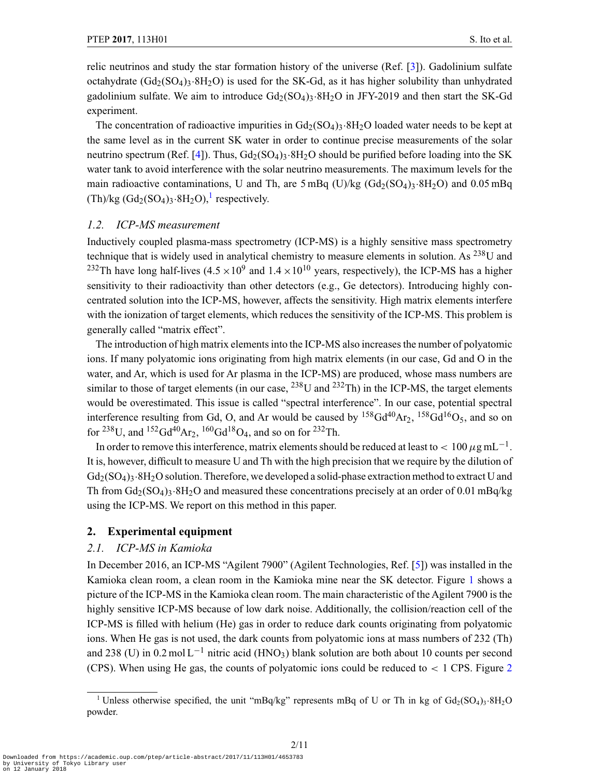relic neutrinos and study the star formation history of the universe (Ref. [\[3\]](#page-10-0)). Gadolinium sulfate octahydrate  $(Gd_2(SO_4)3.8H_2O)$  is used for the SK-Gd, as it has higher solubility than unhydrated gadolinium sulfate. We aim to introduce  $Gd_2(SO_4)$ 3.8H<sub>2</sub>O in JFY-2019 and then start the SK-Gd experiment.

The concentration of radioactive impurities in  $Gd_2(SO_4)$ 3·8H<sub>2</sub>O loaded water needs to be kept at the same level as in the current SK water in order to continue precise measurements of the solar neutrino spectrum (Ref. [\[4\]](#page-10-0)). Thus,  $Gd_2(SO_4)$ <sub>3</sub>.8H<sub>2</sub>O should be purified before loading into the SK water tank to avoid interference with the solar neutrino measurements. The maximum levels for the main radioactive contaminations, U and Th, are  $5 \text{ mBq (U)/kg (Gd<sub>2</sub>(SO<sub>4</sub>)<sub>3</sub>·8H<sub>2</sub>O)$  and 0.05 mBq  $(Th)/kg (Gd_2(SO_4)_3.8H_2O)$ ,<sup>1</sup> respectively.

#### *1.2. ICP-MS measurement*

Inductively coupled plasma-mass spectrometry (ICP-MS) is a highly sensitive mass spectrometry technique that is widely used in analytical chemistry to measure elements in solution. As 238U and <sup>232</sup>Th have long half-lives  $(4.5 \times 10^9$  and  $1.4 \times 10^{10}$  years, respectively), the ICP-MS has a higher sensitivity to their radioactivity than other detectors (e.g., Ge detectors). Introducing highly concentrated solution into the ICP-MS, however, affects the sensitivity. High matrix elements interfere with the ionization of target elements, which reduces the sensitivity of the ICP-MS. This problem is generally called "matrix effect".

The introduction of high matrix elements into the ICP-MS also increases the number of polyatomic ions. If many polyatomic ions originating from high matrix elements (in our case, Gd and O in the water, and Ar, which is used for Ar plasma in the ICP-MS) are produced, whose mass numbers are similar to those of target elements (in our case,  $^{238}$ U and  $^{232}$ Th) in the ICP-MS, the target elements would be overestimated. This issue is called "spectral interference". In our case, potential spectral interference resulting from Gd, O, and Ar would be caused by  $^{158}Gd^{40}Ar_2$ ,  $^{158}Gd^{16}O_5$ , and so on for <sup>238</sup>U, and <sup>152</sup>Gd<sup>40</sup>Ar<sub>2</sub>, <sup>160</sup>Gd<sup>18</sup>O<sub>4</sub>, and so on for <sup>232</sup>Th.

In order to remove this interference, matrix elements should be reduced at least to  $< 100 \,\mu g \,\text{mL}^{-1}$ . It is, however, difficult to measure U and Th with the high precision that we require by the dilution of  $Gd_2(SO_4)$ 3·8H<sub>2</sub>O solution. Therefore, we developed a solid-phase extraction method to extract U and Th from  $Gd_2(SO_4)_3.8H_2O$  and measured these concentrations precisely at an order of 0.01 mBq/kg using the ICP-MS. We report on this method in this paper.

#### **2. Experimental equipment**

## *2.1. ICP-MS in Kamioka*

In December 2016, an ICP-MS "Agilent 7900" (Agilent Technologies, Ref. [\[5\]](#page-10-0)) was installed in the Kamioka clean room, a clean room in the Kamioka mine near the SK detector. Figure [1](#page-2-0) shows a picture of the ICP-MS in the Kamioka clean room. The main characteristic of the Agilent 7900 is the highly sensitive ICP-MS because of low dark noise. Additionally, the collision/reaction cell of the ICP-MS is filled with helium (He) gas in order to reduce dark counts originating from polyatomic ions. When He gas is not used, the dark counts from polyatomic ions at mass numbers of 232 (Th) and 238 (U) in  $0.2 \text{ mol L}^{-1}$  nitric acid (HNO<sub>3</sub>) blank solution are both about 10 counts per second (CPS). When using He gas, the counts of polyatomic ions could be reduced to  $\lt 1$  CPS. Figure [2](#page-2-0)

<sup>&</sup>lt;sup>1</sup> Unless otherwise specified, the unit "mBq/kg" represents mBq of U or Th in kg of  $Gd_2(SO_4)$ <sub>3</sub>·8H<sub>2</sub>O powder.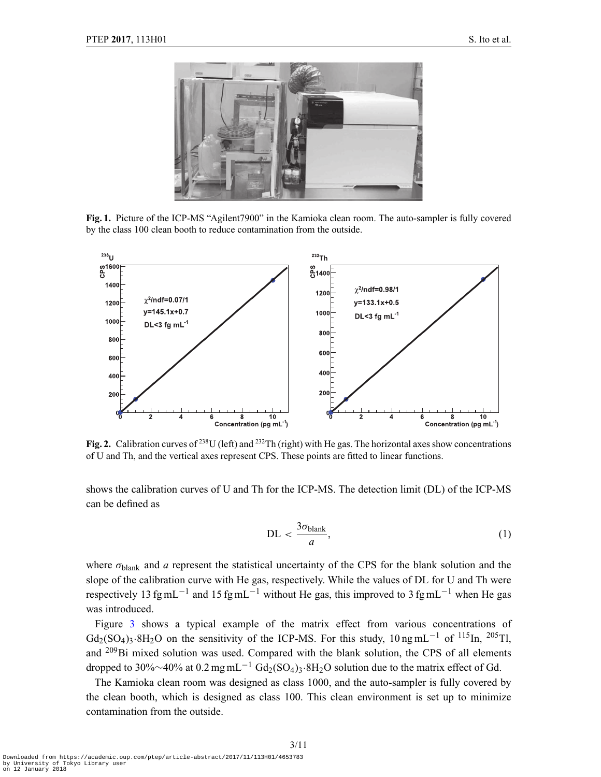<span id="page-2-0"></span>

**Fig. 1.** Picture of the ICP-MS "Agilent7900" in the Kamioka clean room. The auto-sampler is fully covered by the class 100 clean booth to reduce contamination from the outside.



**Fig. 2.** Calibration curves of <sup>238</sup>U (left) and <sup>232</sup>Th (right) with He gas. The horizontal axes show concentrations of U and Th, and the vertical axes represent CPS. These points are fitted to linear functions.

shows the calibration curves of U and Th for the ICP-MS. The detection limit (DL) of the ICP-MS can be defined as

$$
DL < \frac{3\sigma_{\text{blank}}}{a},\tag{1}
$$

where  $\sigma_{\text{blank}}$  and *a* represent the statistical uncertainty of the CPS for the blank solution and the slope of the calibration curve with He gas, respectively. While the values of DL for U and Th were respectively 13 fg mL<sup>-1</sup> and 15 fg mL<sup>-1</sup> without He gas, this improved to 3 fg mL<sup>-1</sup> when He gas was introduced.

Figure [3](#page-3-0) shows a typical example of the matrix effect from various concentrations of  $Gd_2(SO_4)$ 3·8H<sub>2</sub>O on the sensitivity of the ICP-MS. For this study, 10 ng mL<sup>-1</sup> of <sup>115</sup>In, <sup>205</sup>Tl, and  $^{209}$ Bi mixed solution was used. Compared with the blank solution, the CPS of all elements dropped to 30%∼40% at 0.2 mg mL<sup>-1</sup> Gd<sub>2</sub>(SO<sub>4</sub>)<sub>3</sub>⋅8H<sub>2</sub>O solution due to the matrix effect of Gd.

The Kamioka clean room was designed as class 1000, and the auto-sampler is fully covered by the clean booth, which is designed as class 100. This clean environment is set up to minimize contamination from the outside.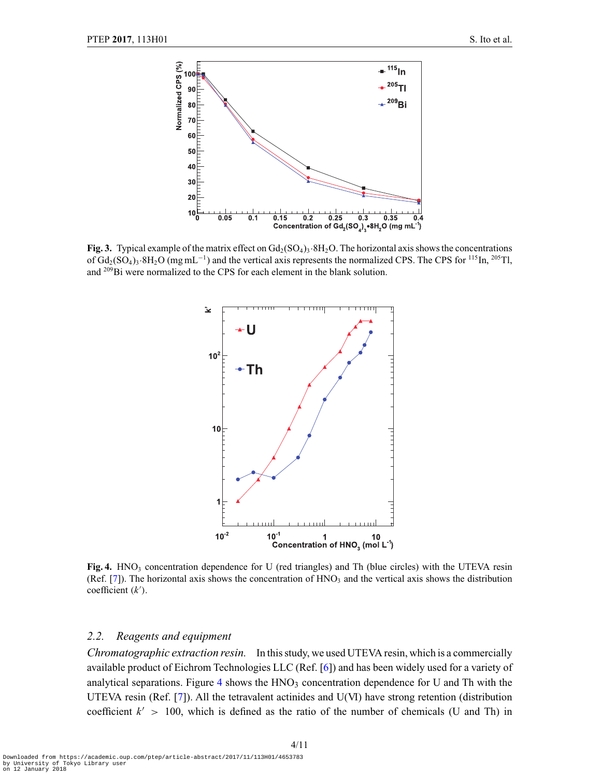<span id="page-3-0"></span>

**Fig. 3.** Typical example of the matrix effect on  $Gd_2(SO_4)_3.8H_2O$ . The horizontal axis shows the concentrations of  $Gd_2(SO_4)$ <sub>3</sub>·8H<sub>2</sub>O (mg mL<sup>-1</sup>) and the vertical axis represents the normalized CPS. The CPS for <sup>115</sup>In, <sup>205</sup>Tl, and 209Bi were normalized to the CPS for each element in the blank solution.



**Fig. 4.** HNO<sub>3</sub> concentration dependence for U (red triangles) and Th (blue circles) with the UTEVA resin (Ref. [\[7\]](#page-10-0)). The horizontal axis shows the concentration of  $HNO<sub>3</sub>$  and the vertical axis shows the distribution coefficient (*k* ).

#### *2.2. Reagents and equipment*

*Chromatographic extraction resin.* In this study, we used UTEVA resin, which is a commercially available product of Eichrom Technologies LLC (Ref. [\[6](#page-10-0)]) and has been widely used for a variety of analytical separations. Figure 4 shows the  $HNO<sub>3</sub>$  concentration dependence for U and Th with the UTEVA resin (Ref. [\[7\]](#page-10-0)). All the tetravalent actinides and U(VI) have strong retention (distribution coefficient  $k' > 100$ , which is defined as the ratio of the number of chemicals (U and Th) in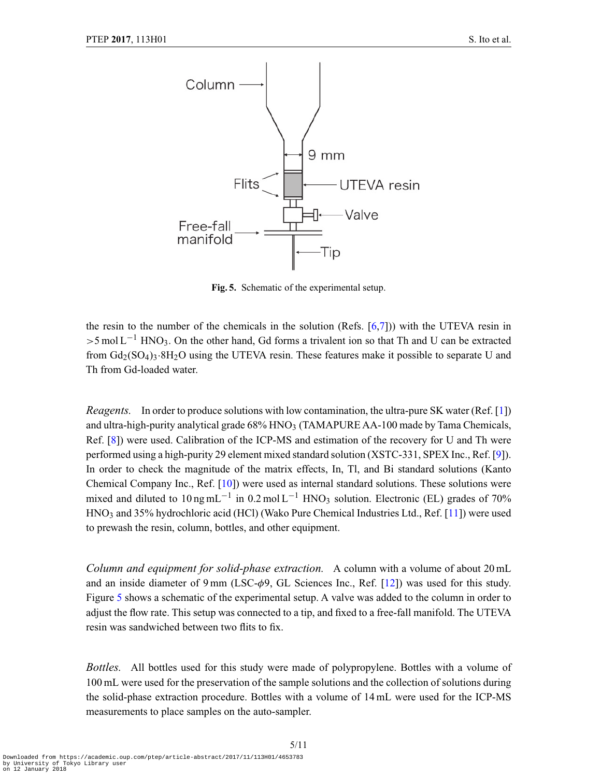<span id="page-4-0"></span>

**Fig. 5.** Schematic of the experimental setup.

the resin to the number of the chemicals in the solution (Refs.  $[6,7]$  $[6,7]$ )) with the UTEVA resin in  $>5$  mol L<sup>-1</sup> HNO<sub>3</sub>. On the other hand, Gd forms a trivalent ion so that Th and U can be extracted from  $Gd_2(SO_4)_3.8H_2O$  using the UTEVA resin. These features make it possible to separate U and Th from Gd-loaded water.

*Reagents.* In order to produce solutions with low contamination, the ultra-pure SK water (Ref. [\[1\]](#page-10-0)) and ultra-high-purity analytical grade  $68\%$  HNO<sub>3</sub> (TAMAPURE AA-100 made by Tama Chemicals, Ref. [\[8\]](#page-10-0)) were used. Calibration of the ICP-MS and estimation of the recovery for U and Th were performed using a high-purity 29 element mixed standard solution (XSTC-331, SPEX Inc., Ref. [\[9](#page-10-0)]). In order to check the magnitude of the matrix effects, In, Tl, and Bi standard solutions (Kanto Chemical Company Inc., Ref. [\[10\]](#page-10-0)) were used as internal standard solutions. These solutions were mixed and diluted to 10 ng mL<sup>-1</sup> in 0.2 mol L<sup>-1</sup> HNO<sub>3</sub> solution. Electronic (EL) grades of 70% HNO3 and 35% hydrochloric acid (HCl) (Wako Pure Chemical Industries Ltd., Ref. [\[11\]](#page-10-0)) were used to prewash the resin, column, bottles, and other equipment.

*Column and equipment for solid-phase extraction.* A column with a volume of about 20 mL and an inside diameter of 9 mm (LSC- $\phi$ 9, GL Sciences Inc., Ref. [\[12\]](#page-10-0)) was used for this study. Figure 5 shows a schematic of the experimental setup. A valve was added to the column in order to adjust the flow rate. This setup was connected to a tip, and fixed to a free-fall manifold. The UTEVA resin was sandwiched between two flits to fix.

*Bottles.* All bottles used for this study were made of polypropylene. Bottles with a volume of 100 mL were used for the preservation of the sample solutions and the collection of solutions during the solid-phase extraction procedure. Bottles with a volume of 14 mL were used for the ICP-MS measurements to place samples on the auto-sampler.

5/11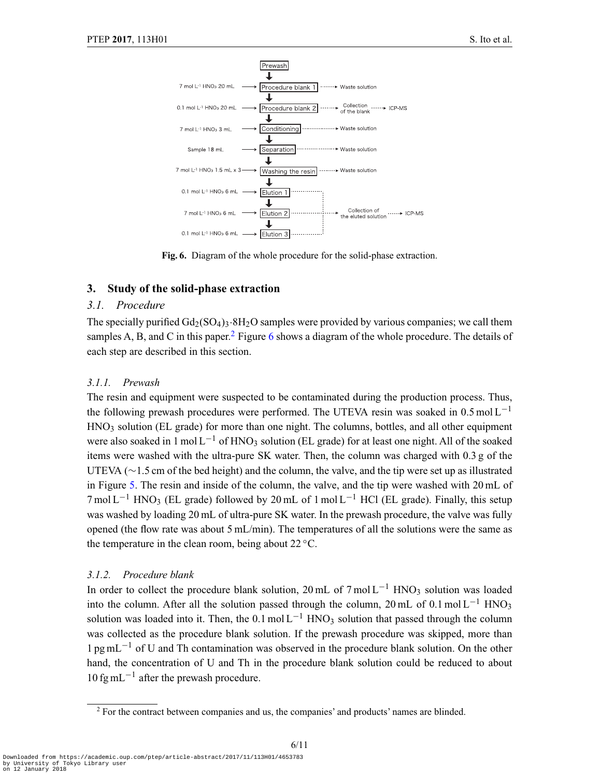

**Fig. 6.** Diagram of the whole procedure for the solid-phase extraction.

## **3. Study of the solid-phase extraction**

## *3.1. Procedure*

The specially purified  $Gd_2(SO_4)$ <sub>3</sub>·8H<sub>2</sub>O samples were provided by various companies; we call them samples A, B, and C in this paper.<sup>2</sup> Figure 6 shows a diagram of the whole procedure. The details of each step are described in this section.

## *3.1.1. Prewash*

The resin and equipment were suspected to be contaminated during the production process. Thus, the following prewash procedures were performed. The UTEVA resin was soaked in 0.5 mol L<sup>-1</sup> HNO<sub>3</sub> solution (EL grade) for more than one night. The columns, bottles, and all other equipment were also soaked in 1 mol  $L^{-1}$  of HNO<sub>3</sub> solution (EL grade) for at least one night. All of the soaked items were washed with the ultra-pure SK water. Then, the column was charged with 0.3 g of the UTEVA (∼1.5 cm of the bed height) and the column, the valve, and the tip were set up as illustrated in Figure [5.](#page-4-0) The resin and inside of the column, the valve, and the tip were washed with 20 mL of  $7 \text{ mol L}^{-1}$  HNO<sub>3</sub> (EL grade) followed by 20 mL of 1 mol L<sup>-1</sup> HCl (EL grade). Finally, this setup was washed by loading 20 mL of ultra-pure SK water. In the prewash procedure, the valve was fully opened (the flow rate was about 5 mL/min). The temperatures of all the solutions were the same as the temperature in the clean room, being about  $22^{\circ}$ C.

# *3.1.2. Procedure blank*

In order to collect the procedure blank solution, 20 mL of 7 mol  $L^{-1}$  HNO3 solution was loaded into the column. After all the solution passed through the column, 20 mL of 0.1 mol L<sup>-1</sup> HNO<sub>3</sub> solution was loaded into it. Then, the  $0.1 \text{ mol L}^{-1}$  HNO<sub>3</sub> solution that passed through the column was collected as the procedure blank solution. If the prewash procedure was skipped, more than  $1 \text{ pg } mL^{-1}$  of U and Th contamination was observed in the procedure blank solution. On the other hand, the concentration of U and Th in the procedure blank solution could be reduced to about  $10 \text{ fg } \text{mL}^{-1}$  after the prewash procedure.

<sup>2</sup> For the contract between companies and us, the companies' and products' names are blinded.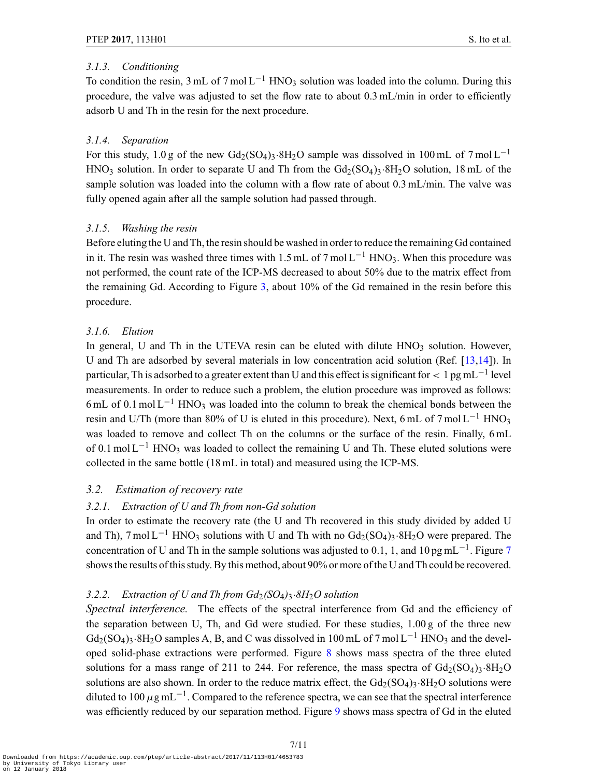## *3.1.3. Conditioning*

To condition the resin, 3 mL of 7 mol  $L^{-1}$  HNO<sub>3</sub> solution was loaded into the column. During this procedure, the valve was adjusted to set the flow rate to about  $0.3 \text{ mL/min}$  in order to efficiently adsorb U and Th in the resin for the next procedure.

# *3.1.4. Separation*

For this study, 1.0 g of the new  $Gd_2(SO_4)_3.8H_2O$  sample was dissolved in 100 mL of 7 mol L<sup>-1</sup>  $HNO<sub>3</sub>$  solution. In order to separate U and Th from the  $Gd<sub>2</sub>(SO<sub>4</sub>)<sub>3</sub>·8H<sub>2</sub>O$  solution, 18 mL of the sample solution was loaded into the column with a flow rate of about 0.3 mL/min. The valve was fully opened again after all the sample solution had passed through.

# *3.1.5. Washing the resin*

Before eluting the U and Th, the resin should be washed in order to reduce the remaining Gd contained in it. The resin was washed three times with 1.5 mL of 7 mol  $L^{-1}$  HNO3. When this procedure was not performed, the count rate of the ICP-MS decreased to about 50% due to the matrix effect from the remaining Gd. According to Figure [3,](#page-3-0) about 10% of the Gd remained in the resin before this procedure.

# *3.1.6. Elution*

In general, U and Th in the UTEVA resin can be eluted with dilute  $HNO<sub>3</sub>$  solution. However, U and Th are adsorbed by several materials in low concentration acid solution (Ref. [\[13,14](#page-10-0)]). In particular, Th is adsorbed to a greater extent than U and this effect is significant for  $\lt 1$  pg mL<sup>-1</sup> level measurements. In order to reduce such a problem, the elution procedure was improved as follows: 6 mL of 0.1 mol  $L^{-1}$  HNO<sub>3</sub> was loaded into the column to break the chemical bonds between the resin and U/Th (more than 80% of U is eluted in this procedure). Next, 6 mL of 7 mol  $L^{-1}$  HNO<sub>3</sub> was loaded to remove and collect Th on the columns or the surface of the resin. Finally, 6 mL of 0.1 mol L<sup>-1</sup> HNO<sub>3</sub> was loaded to collect the remaining U and Th. These eluted solutions were collected in the same bottle (18 mL in total) and measured using the ICP-MS.

# *3.2. Estimation of recovery rate*

# *3.2.1. Extraction of U and Th from non-Gd solution*

In order to estimate the recovery rate (the U and Th recovered in this study divided by added U and Th), 7 mol L<sup>-1</sup> HNO<sub>3</sub> solutions with U and Th with no  $Gd_2(SO_4)$ <sub>3</sub>·8H<sub>2</sub>O were prepared. The concentration of U and Th in the sample solutions was adjusted to 0.1, 1, and 10 pg mL<sup>-1</sup>. Figure [7](#page-7-0) shows the results of this study. By this method, about 90% or more of the U and Th could be recovered.

# *3.2.2. Extraction of U and Th from Gd*2*(SO*4*)*3·*8H*2*O solution*

*Spectral interference.* The effects of the spectral interference from Gd and the efficiency of the separation between U, Th, and Gd were studied. For these studies, 1.00 g of the three new  $Gd_2(SO_4)$ <sub>3</sub>·8H<sub>2</sub>O samples A, B, and C was dissolved in 100 mL of 7 mol L<sup>-1</sup> HNO<sub>3</sub> and the developed solid-phase extractions were performed. Figure [8](#page-7-0) shows mass spectra of the three eluted solutions for a mass range of 211 to 244. For reference, the mass spectra of  $Gd_2(SO_4)_3.8H_2O$ solutions are also shown. In order to the reduce matrix effect, the  $Gd_2(SO_4)$ 3·8H<sub>2</sub>O solutions were diluted to 100  $\mu$ g mL<sup>-1</sup>. Compared to the reference spectra, we can see that the spectral interference was efficiently reduced by our separation method. Figure [9](#page-8-0) shows mass spectra of Gd in the eluted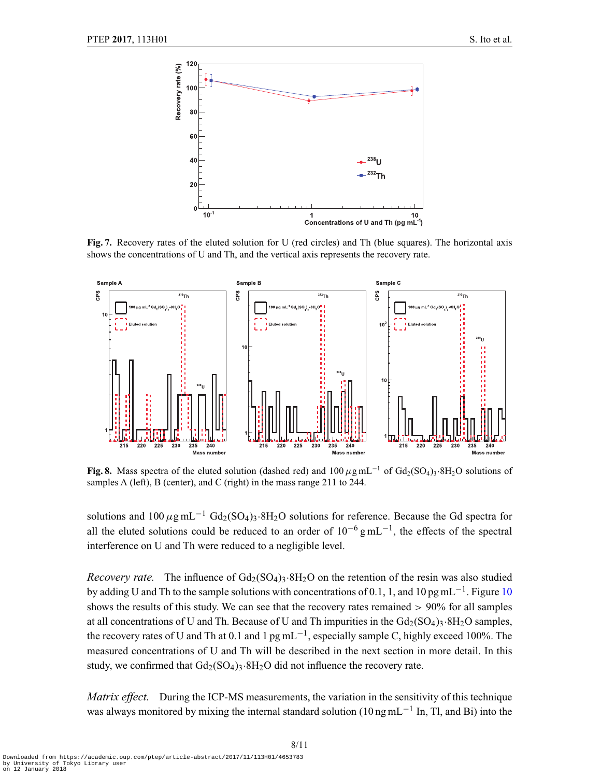<span id="page-7-0"></span>

**Fig. 7.** Recovery rates of the eluted solution for U (red circles) and Th (blue squares). The horizontal axis shows the concentrations of U and Th, and the vertical axis represents the recovery rate.



**Fig. 8.** Mass spectra of the eluted solution (dashed red) and  $100 \mu$ g mL<sup>-1</sup> of Gd<sub>2</sub>(SO<sub>4</sub>)<sub>3</sub>·8H<sub>2</sub>O solutions of samples A (left), B (center), and C (right) in the mass range 211 to 244.

solutions and  $100 \mu g \text{ mL}^{-1} \text{ Gd}_2(\text{SO}_4)$ <sub>3</sub>·8H<sub>2</sub>O solutions for reference. Because the Gd spectra for all the eluted solutions could be reduced to an order of  $10^{-6}$  g mL<sup>-1</sup>, the effects of the spectral interference on U and Th were reduced to a negligible level.

*Recovery rate.* The influence of  $Gd_2(SO_4)$ <sup>3</sup>·8H<sub>2</sub>O on the retention of the resin was also studied by adding U and Th to the sample solutions with concentrations of 0.1, 1, and [10](#page-8-0) pg mL<sup> $-1$ </sup>. Figure 10 shows the results of this study. We can see that the recovery rates remained  $> 90\%$  for all samples at all concentrations of U and Th. Because of U and Th impurities in the  $Gd_2(SO_4)$ 3·8H<sub>2</sub>O samples, the recovery rates of U and Th at 0.1 and 1 pg mL<sup>-1</sup>, especially sample C, highly exceed 100%. The measured concentrations of U and Th will be described in the next section in more detail. In this study, we confirmed that  $Gd_2(SO_4)$ <sub>3</sub>.8H<sub>2</sub>O did not influence the recovery rate.

*Matrix effect.* During the ICP-MS measurements, the variation in the sensitivity of this technique was always monitored by mixing the internal standard solution (10 ng mL<sup>-1</sup> In, Tl, and Bi) into the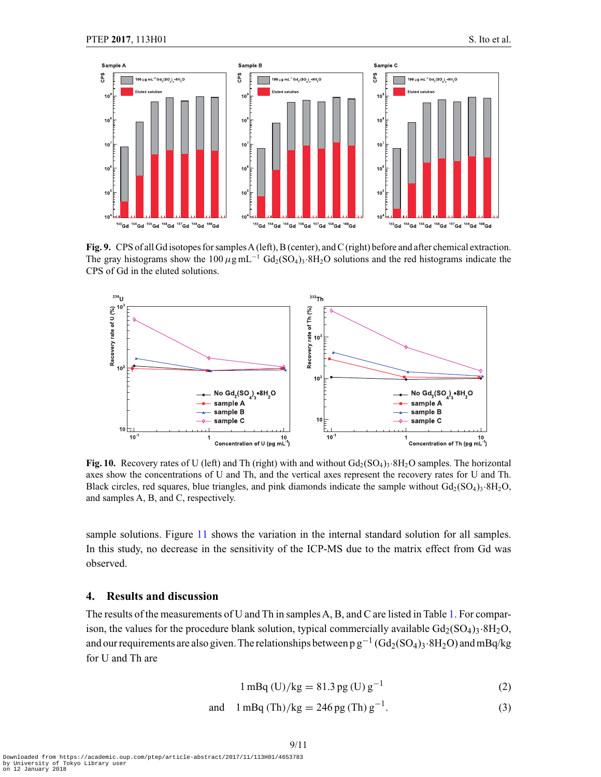<span id="page-8-0"></span>

**Fig. 9.** CPS of all Gd isotopes for samples A (left), B (center), and C (right) before and after chemical extraction. The gray histograms show the 100  $\mu$ g mL<sup>-1</sup> Gd<sub>2</sub>(SO<sub>4</sub>)<sub>3</sub>·8H<sub>2</sub>O solutions and the red histograms indicate the CPS of Gd in the eluted solutions.



**Fig. 10.** Recovery rates of U (left) and Th (right) with and without  $Gd_2(SO_4)$ <sub>3</sub>·8H<sub>2</sub>O samples. The horizontal axes show the concentrations of U and Th, and the vertical axes represent the recovery rates for U and Th. Black circles, red squares, blue triangles, and pink diamonds indicate the sample without  $Gd_2(SO_4)$ <sub>3</sub>·8H<sub>2</sub>O, and samples A, B, and C, respectively.

sample solutions. Figure [11](#page-9-0) shows the variation in the internal standard solution for all samples. In this study, no decrease in the sensitivity of the ICP-MS due to the matrix effect from Gd was observed.

## **4. Results and discussion**

The results of the measurements of U and Th in samples A, B, and C are listed in Table [1.](#page-10-0) For comparison, the values for the procedure blank solution, typical commercially available  $Gd_2(SO_4)$ 3·8H<sub>2</sub>O, and our requirements are also given. The relationships between p  $g^{-1}$  (Gd<sub>2</sub>(SO<sub>4</sub>)<sub>3</sub>·8H<sub>2</sub>O) and mBq/kg for U and Th are

$$
1 \,\text{mBq (U)/kg} = 81.3 \,\text{pg (U) g}^{-1} \tag{2}
$$

and 
$$
1 \text{ mBq (Th)}/\text{kg} = 246 \text{ pg (Th) g}^{-1}
$$
. (3)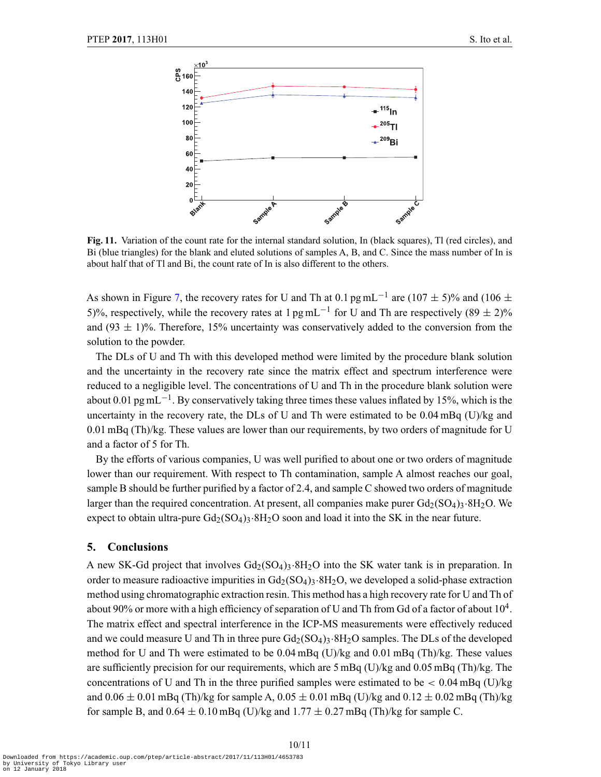<span id="page-9-0"></span>

**Fig. 11.** Variation of the count rate for the internal standard solution, In (black squares), Tl (red circles), and Bi (blue triangles) for the blank and eluted solutions of samples A, B, and C. Since the mass number of In is about half that of Tl and Bi, the count rate of In is also different to the others.

As shown in Figure [7,](#page-7-0) the recovery rates for U and Th at 0.1 pg mL<sup>-1</sup> are (107  $\pm$  5)% and (106  $\pm$ 5)%, respectively, while the recovery rates at 1 pg mL<sup>-1</sup> for U and Th are respectively (89  $\pm$  2)% and (93  $\pm$  1)%. Therefore, 15% uncertainty was conservatively added to the conversion from the solution to the powder.

The DLs of U and Th with this developed method were limited by the procedure blank solution and the uncertainty in the recovery rate since the matrix effect and spectrum interference were reduced to a negligible level. The concentrations of U and Th in the procedure blank solution were about 0.01 pg mL<sup> $-1$ </sup>. By conservatively taking three times these values inflated by 15%, which is the uncertainty in the recovery rate, the DLs of U and Th were estimated to be 0.04 mBq (U)/kg and 0.01 mBq (Th)/kg. These values are lower than our requirements, by two orders of magnitude for U and a factor of 5 for Th.

By the efforts of various companies, U was well purified to about one or two orders of magnitude lower than our requirement. With respect to Th contamination, sample A almost reaches our goal, sample B should be further purified by a factor of 2.4, and sample C showed two orders of magnitude larger than the required concentration. At present, all companies make purer  $Gd_2(SO_4)_3.8H_2O$ . We expect to obtain ultra-pure  $Gd_2(SO_4)_3.8H_2O$  soon and load it into the SK in the near future.

#### **5. Conclusions**

A new SK-Gd project that involves  $Gd_2(SO_4)_3.8H_2O$  into the SK water tank is in preparation. In order to measure radioactive impurities in  $Gd_2(SO_4)$ 3·8H<sub>2</sub>O, we developed a solid-phase extraction method using chromatographic extraction resin. This method has a high recovery rate for U and Th of about 90% or more with a high efficiency of separation of U and Th from Gd of a factor of about  $10^4$ . The matrix effect and spectral interference in the ICP-MS measurements were effectively reduced and we could measure U and Th in three pure  $Gd_2(SO_4)_3·8H_2O$  samples. The DLs of the developed method for U and Th were estimated to be 0.04 mBq (U)/kg and 0.01 mBq (Th)/kg. These values are sufficiently precision for our requirements, which are 5 mBq (U)/kg and 0.05 mBq (Th)/kg. The concentrations of U and Th in the three purified samples were estimated to be  $\lt$  0.04 mBq (U)/kg and  $0.06 \pm 0.01$  mBq (Th)/kg for sample A,  $0.05 \pm 0.01$  mBq (U)/kg and  $0.12 \pm 0.02$  mBq (Th)/kg for sample B, and  $0.64 \pm 0.10$  mBq (U)/kg and  $1.77 \pm 0.27$  mBq (Th)/kg for sample C.